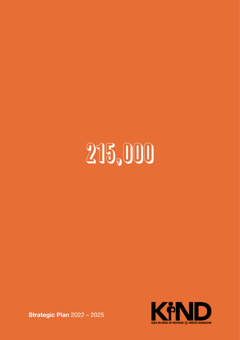# 215,000



**Strategic Plan 2022 - 2025**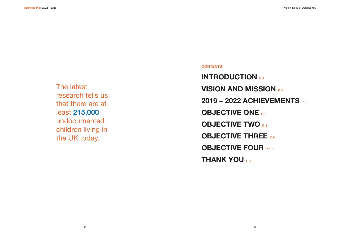**CONTENTS**

**INTRODUCTION VISION AND MISSION <b>P.5 2019 – 2022 ACHIEVEMENTS** P. 6 **OBJECTIVE ONE P.7 OBJECTIVE TWO <b>P.8 OBJECTIVE THREE P.9 OBJECTIVE FOUR P.10 THANK YOU P.11** 

The latest research tells us that there are at least **215,000** undocumented children living in the UK today.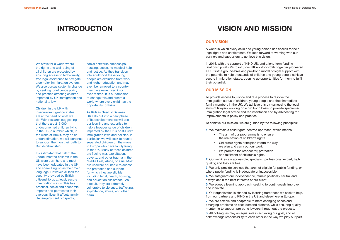We strive for a world where the rights and well-being of all children are protected by ensuring access to high-quality. free legal assistance to navigate a complex immigration system. We also pursue systemic change by seeking to influence policy and practice affecting children impacted by UK immigration and nationality law.

Children in the UK with insecure immigration status are at the heart of what we do. With research suggesting that there are 215,000 undocumented children living in the UK, a number which, in the wake of Brexit, may be an underestimation, we will continue to support them on their path to British citizenship.

It's estimated that half of the undocumented children in the UK were born here and most have been educated in the UK and speak English as their main language. However, all lack the security provided by British citizenship or, at least, secure immigration status. This has practical, social and economic impacts and permeates their everyday lives. It affects family life, employment prospects,

social networks, friendships, housing, access to medical help and justice. As they transition into adulthood these young people are excluded from work and higher education and may even be removed to a country they have never lived in or even visited. It is our ambition to change this and create a world where every child has the opportunity to thrive.

As Kids in Need of Defense UK sets out into a new phase of its development we will use our learning and expertise to help a broader range of children impacted by the UK's post-Brexit immigration laws and policies. In particular, we will seek to reunite separated children on the move in Europe who have family living in the UK. Many of these children are fleeing war, exploitation, poverty, and other trauma in the Middle East, Africa, or Asia. Most are unaware or unable to access the protection and support for which they are eligible, including legal, health, housing, and education assistance. As a result, they are extremely vulnerable to violence, trafficking, exploitation, abuse, and other harm.

## **OUR VISION**

A world in which every child and young person has access to their legal rights and entitlements. We look forward to working with our partners and supporters to achieve this vision.

In 2016, with the support of KIND US, and a long term funding relationship with Microsoft, four UK not-for-profits together pioneered a UK first: a ground-breaking pro-bono model of legal support with the potential to help thousands of children and young people achieve secure immigration status, opening up opportunities for them to fulfil their potential.

## **OUR MISSION**

To provide access to justice and due process to resolve the immigration status of children, young people and their immediate family members in the UK. We achieve this by harnessing the legal skills of lawyers working on a pro bono basis to provide specialised immigration legal advice and representation and by advocating for improvements in policy and practice

To achieve our mission, we are guided by the following principles:

**1.** We maintain a child rights-centred approach, which means:

- The aim of our programme is to ensure the realisation of children's rights
- Children's rights principles inform the way we plan and carry out our work
- We promote the respect for, protection and fulfilment of children's rights

**2.** Our services are accessible, specialist, professional, expert, high quality; and they are free.

**3.** We only provide services that are not eligible for public funding, or where public funding is inadequate or inaccessible.

**4.** We safeguard our independence, remain politically neutral and always act in the best interests of our client.

**5.** We adopt a learning approach, seeking to continuously improve and innovate.

from our partners and KIND in the US and elsewhere in Europe. emerging problems as case demand dictates, while ensuring quality

**6.** Our organisation is shaped by learning from those we seek to help, **7.** We are flexible and adaptable to meet changing needs and mentoring to support pro bono lawyers throughout the process. **8.** All colleagues play an equal role in achieving our goal, and all

acknowledge responsibility to each other in the way we play our part.

# **INTRODUCTION VISION AND MISSION**

- 
- 
- 
- 
- 
- 
- 
- 
- 
- 
- 
- 
-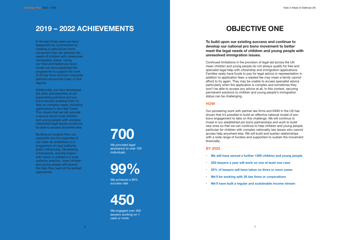In the last three years we have deepened our commitment to creating a national pro bono movement that can address the needs of children with unresolved immigration status. Using our tried and tested pro bono model we have expanded the programme to support the work of 25 law firms and two corporate partners across five hubs, in four regions.

Additionally, we have developed the skills and expertise of our supervising solicitors and pro bono lawyers enabling them to take on complex cases, including applications in the High Court. This means that we can provide a service which most children and young people with complex citizenship legal issues would not be able to access anywhere else.

Building on insights from our casework and the expertise of our hubs we embarked on a programme of local authority policy influencing. Developing a framework, and the means with which to embed it in local authority practice, more children and young people will receive the help they need at the earliest opportunity.

**To build upon our existing success and continue to develop our national pro bono movement to better meet the legal needs of children and young people with unresolved immigration issues.** 

- **• We will have served a further 1200 children and young people**
- **• 250 lawyers a year will work on one at least one case**
- **25% of lawyers will have taken on three or more cases**
- **• We'll be working with 35 law firms or corporations**
- **We'll have built a regular and sustainable income stream**

Continued limitations in the provision of legal aid across the UK mean children and young people do not always qualify for free and specialist legal help with citizenship and immigration applications. Families rarely have funds to pay for legal advice or representation in addition to application fees; a wasted fee may mean a family cannot afford to try again. They may be unable to access specialist advice particularly when the application is complex and sometimes they won't be able to access any advice at all. In this context, securing permanent solutions to children and young people's immigration status can be challenging.

### **HOW**

Our pioneering work with partner law firms and KIND in the US has shown that it's possible to build an effective national model of probono engagement to take on this challenge. We will continue to invest in our established pro bono partnerships and work to build new ones so that we can continue to help children and young people, particular for children with complex nationality law issues who cannot access help anywhere else. We will build and sustain relationships with a wide range of funders and supporters to sustain the movement financially.

### **BY 2025**

## **2019 – 2022 ACHIEVEMENTS OBJECTIVE ONE**

**700**

*We provided legal assistance to over 700 individuals.* 

**99%**

*We achieved a 99% success rate.*

**450**

*We engaged over 450 lawyers working on 1 case or more.*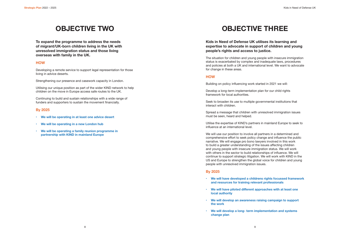**To expand the programme to address the needs of migrant/UK-born children living in the UK with unresolved immigration status and those living overseas with family in the UK.** 

#### **HOW**

Developing a remote service to support legal representation for those living in advice deserts.

Strengthening our presence and casework capacity in London.

Utilising our unique position as part of the wider KIND network to help children on the move in Europe access safe routes to the UK.

Continuing to build and sustain relationships with a wide range of funders and supporters to sustain the movement financially.

### **By 2025**

- **• We will be operating in at least one advice desert**
- **• We will be operating in a new London hub**
- **• We will be operating a family reunion programme in partnership with KIND in mainland Europe**

# **OBJECTIVE TWO CONFIDENTIAL CONFIDENTIAL CONFIDENTIAL CONFIDENTIAL CONFIDENTIAL CONFIDENTIAL CONFIDENTIAL CONFIDENTIAL CONFIDENTIAL CONFIDENTIAL CONFIDENTIAL CONFIDENTIAL CONFIDENTIAL CONFIDENTIAL CONFIDENTIAL CONFIDENTIAL**

## **Kids in Need of Defense UK utilises its learning and expertise to advocate in support of children and young people's rights and access to justice.**

The situation for children and young people with insecure immigration status is exacerbated by complex and inadequate laws, procedures and policies at both a UK and international level. We want to advocate for change in these areas.

### **HOW**

Building on policy influencing work started in 2021 we will:

Develop a long-term implementation plan for our child rights framework for local authorities.

Seek to broaden its use to multiple governmental institutions that interact with children.

Spread a message that children with unresolved immigration issues must be seen, heard and helped.

Utilise the expertise of KIND's partners in mainland Europe to seek to influence at an international level.

We will use our position to involve all partners in a determined and comprehensive effort to seek policy change and influence the public narrative. We will engage pro bono lawyers involved in this work to build a greater understanding of the issues affecting children and young people with insecure immigration status. We will work with others in the sector to build relationships of influence. We will continue to support strategic litigation. We will work with KIND in the US and Europe to strengthen the global voice for children and young people with unresolved immigration issues.

### **By 2025**

- **• We will have developed a childrens rights focussed framework and resources for training relevant professionals**
- **• We will have piloted different approaches with at least one local authority**
- **• We will develop an awareness raising campaign to support the work**
- **We will develop a long- term implementation and systems change plan**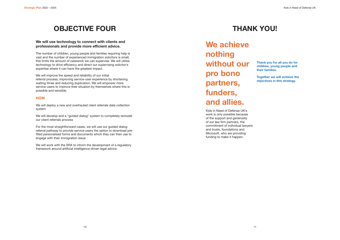# **OBJECTIVE FOUR THANK YOU!**

## **We will use technology to connect with clients and professionals and provide more efficient advice.**

The number of children, young people and families requiring help is vast and the number of experienced immigration solicitors is small, this limits the amount of casework we can supervise. We will utilise technology to drive efficiency and direct our supervising solicitor's expertise where it can have the greatest impact.

We will improve the speed and reliability of our initial referral process, improving service-user experience by shortening waiting times and reducing duplication. We will empower more service-users to improve their situation by themselves where this is possible and sensible.

### **HOW**

We will deploy a new and overhauled client referrals data collection system

We will develop and a "guided dialog" system to completely remodel our client referrals process

For the most straightforward cases, we will use our guided dialog referral pathway to provide service-users the option to download prefilled personalised forms and documents which they can then use to engage with their immigration issue

We will work with the SRA to inform the development of a regulatory framework around artificial intelligence driven legal advice

**We achieve nothing without our pro bono partners, funders, and allies.** 

Kids in Need of Defense UK's work is only possible because of the support and generosity of our law firm partners, the commitment of individual lawyers and trusts, foundations and Microsoft, who are providing funding to make it happen.

**Thank you for all you do for children, young people and their families.** 

**Together we will achieve the objectives in this strategy.**